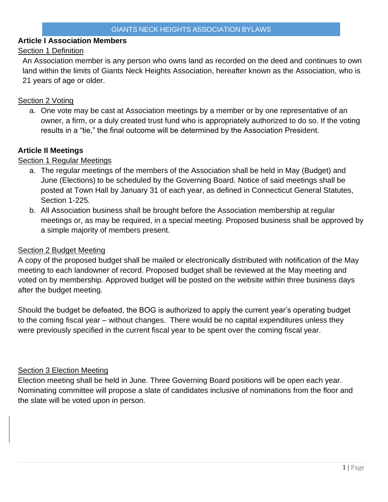# **Article I Association Members**

# Section 1 Definition

An Association member is any person who owns land as recorded on the deed and continues to own land within the limits of Giants Neck Heights Association, hereafter known as the Association, who is 21 years of age or older.

# Section 2 Voting

a. One vote may be cast at Association meetings by a member or by one representative of an owner, a firm, or a duly created trust fund who is appropriately authorized to do so. If the voting results in a "tie," the final outcome will be determined by the Association President.

# **Article II Meetings**

# Section 1 Regular Meetings

- a. The regular meetings of the members of the Association shall be held in May (Budget) and June (Elections) to be scheduled by the Governing Board. Notice of said meetings shall be posted at Town Hall by January 31 of each year, as defined in Connecticut General Statutes, Section 1-225.
- b. All Association business shall be brought before the Association membership at regular meetings or, as may be required, in a special meeting. Proposed business shall be approved by a simple majority of members present.

# Section 2 Budget Meeting

A copy of the proposed budget shall be mailed or electronically distributed with notification of the May meeting to each landowner of record. Proposed budget shall be reviewed at the May meeting and voted on by membership. Approved budget will be posted on the website within three business days after the budget meeting.

Should the budget be defeated, the BOG is authorized to apply the current year's operating budget to the coming fiscal year – without changes. There would be no capital expenditures unless they were previously specified in the current fiscal year to be spent over the coming fiscal year.

# Section 3 Election Meeting

Election meeting shall be held in June. Three Governing Board positions will be open each year. Nominating committee will propose a slate of candidates inclusive of nominations from the floor and the slate will be voted upon in person.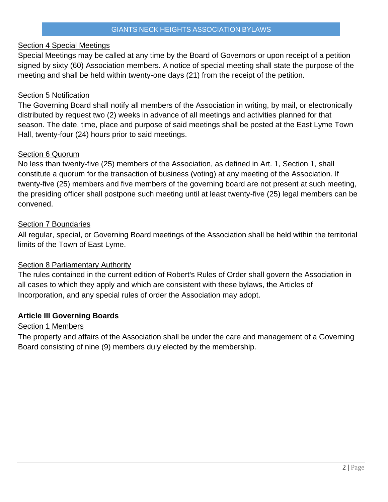## Section 4 Special Meetings

Special Meetings may be called at any time by the Board of Governors or upon receipt of a petition signed by sixty (60) Association members. A notice of special meeting shall state the purpose of the meeting and shall be held within twenty-one days (21) from the receipt of the petition.

## Section 5 Notification

The Governing Board shall notify all members of the Association in writing, by mail, or electronically distributed by request two (2) weeks in advance of all meetings and activities planned for that season. The date, time, place and purpose of said meetings shall be posted at the East Lyme Town Hall, twenty-four (24) hours prior to said meetings.

#### Section 6 Quorum

No less than twenty-five (25) members of the Association, as defined in Art. 1, Section 1, shall constitute a quorum for the transaction of business (voting) at any meeting of the Association. If twenty-five (25) members and five members of the governing board are not present at such meeting, the presiding officer shall postpone such meeting until at least twenty-five (25) legal members can be convened.

#### Section 7 Boundaries

All regular, special, or Governing Board meetings of the Association shall be held within the territorial limits of the Town of East Lyme.

# Section 8 Parliamentary Authority

The rules contained in the current edition of Robert's Rules of Order shall govern the Association in all cases to which they apply and which are consistent with these bylaws, the Articles of Incorporation, and any special rules of order the Association may adopt.

# **Article III Governing Boards**

#### Section 1 Members

The property and affairs of the Association shall be under the care and management of a Governing Board consisting of nine (9) members duly elected by the membership.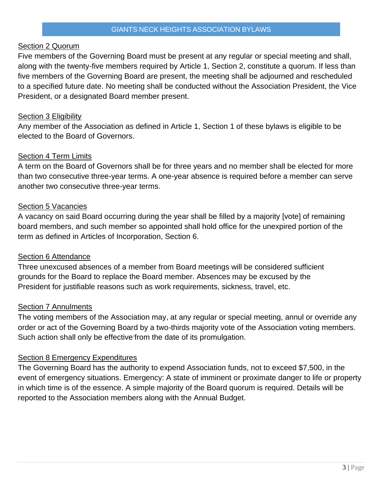#### Section 2 Quorum

Five members of the Governing Board must be present at any regular or special meeting and shall, along with the twenty-five members required by Article 1, Section 2, constitute a quorum. If less than five members of the Governing Board are present, the meeting shall be adjourned and rescheduled to a specified future date. No meeting shall be conducted without the Association President, the Vice President, or a designated Board member present.

## **Section 3 Eligibility**

Any member of the Association as defined in Article 1, Section 1 of these bylaws is eligible to be elected to the Board of Governors.

#### Section 4 Term Limits

A term on the Board of Governors shall be for three years and no member shall be elected for more than two consecutive three-year terms. A one-year absence is required before a member can serve another two consecutive three-year terms.

#### Section 5 Vacancies

A vacancy on said Board occurring during the year shall be filled by a majority [vote] of remaining board members, and such member so appointed shall hold office for the unexpired portion of the term as defined in Articles of Incorporation, Section 6.

#### Section 6 Attendance

Three unexcused absences of a member from Board meetings will be considered sufficient grounds for the Board to replace the Board member. Absences may be excused by the President for justifiable reasons such as work requirements, sickness, travel, etc.

#### **Section 7 Annulments**

The voting members of the Association may, at any regular or special meeting, annul or override any order or act of the Governing Board by a two-thirds majority vote of the Association voting members. Such action shall only be effective from the date of its promulgation.

# Section 8 Emergency Expenditures

The Governing Board has the authority to expend Association funds, not to exceed \$7,500, in the event of emergency situations. Emergency: A state of imminent or proximate danger to life or property in which time is of the essence. A simple majority of the Board quorum is required. Details will be reported to the Association members along with the Annual Budget.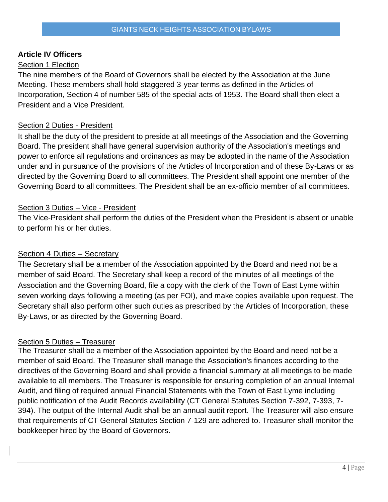# **Article IV Officers**

# Section 1 Election

The nine members of the Board of Governors shall be elected by the Association at the June Meeting. These members shall hold staggered 3-year terms as defined in the Articles of Incorporation, Section 4 of number 585 of the special acts of 1953. The Board shall then elect a President and a Vice President.

# Section 2 Duties - President

It shall be the duty of the president to preside at all meetings of the Association and the Governing Board. The president shall have general supervision authority of the Association's meetings and power to enforce all regulations and ordinances as may be adopted in the name of the Association under and in pursuance of the provisions of the Articles of Incorporation and of these By-Laws or as directed by the Governing Board to all committees. The President shall appoint one member of the Governing Board to all committees. The President shall be an ex-officio member of all committees.

#### Section 3 Duties – Vice - President

The Vice-President shall perform the duties of the President when the President is absent or unable to perform his or her duties.

# Section 4 Duties – Secretary

The Secretary shall be a member of the Association appointed by the Board and need not be a member of said Board. The Secretary shall keep a record of the minutes of all meetings of the Association and the Governing Board, file a copy with the clerk of the Town of East Lyme within seven working days following a meeting (as per FOI), and make copies available upon request. The Secretary shall also perform other such duties as prescribed by the Articles of Incorporation, these By-Laws, or as directed by the Governing Board.

# Section 5 Duties – Treasurer

The Treasurer shall be a member of the Association appointed by the Board and need not be a member of said Board. The Treasurer shall manage the Association's finances according to the directives of the Governing Board and shall provide a financial summary at all meetings to be made available to all members. The Treasurer is responsible for ensuring completion of an annual Internal Audit, and filing of required annual Financial Statements with the Town of East Lyme including public notification of the Audit Records availability (CT General Statutes Section 7-392, 7-393, 7- 394). The output of the Internal Audit shall be an annual audit report. The Treasurer will also ensure that requirements of CT General Statutes Section 7-129 are adhered to. Treasurer shall monitor the bookkeeper hired by the Board of Governors.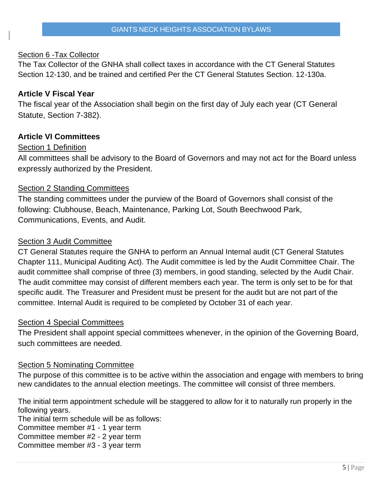## Section 6 -Tax Collector

The Tax Collector of the GNHA shall collect taxes in accordance with the CT General Statutes Section 12-130, and be trained and certified Per the CT General Statutes Section. 12-130a.

# **Article V Fiscal Year**

The fiscal year of the Association shall begin on the first day of July each year (CT General Statute, Section 7-382).

#### **Article VI Committees**

#### Section 1 Definition

All committees shall be advisory to the Board of Governors and may not act for the Board unless expressly authorized by the President.

#### Section 2 Standing Committees

The standing committees under the purview of the Board of Governors shall consist of the following: Clubhouse, Beach, Maintenance, Parking Lot, South Beechwood Park, Communications, Events, and Audit.

#### Section 3 Audit Committee

CT General Statutes require the GNHA to perform an Annual Internal audit (CT General Statutes Chapter 111, Municipal Auditing Act). The Audit committee is led by the Audit Committee Chair. The audit committee shall comprise of three (3) members, in good standing, selected by the Audit Chair. The audit committee may consist of different members each year. The term is only set to be for that specific audit. The Treasurer and President must be present for the audit but are not part of the committee. Internal Audit is required to be completed by October 31 of each year.

#### Section 4 Special Committees

The President shall appoint special committees whenever, in the opinion of the Governing Board, such committees are needed.

#### Section 5 Nominating Committee

The purpose of this committee is to be active within the association and engage with members to bring new candidates to the annual election meetings. The committee will consist of three members.

The initial term appointment schedule will be staggered to allow for it to naturally run properly in the following years.

The initial term schedule will be as follows:

Committee member #1 - 1 year term

Committee member #2 - 2 year term

Committee member #3 - 3 year term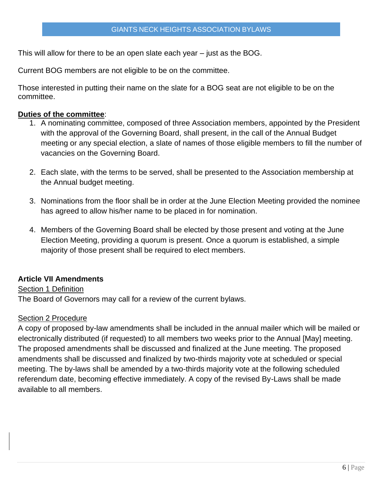This will allow for there to be an open slate each year – just as the BOG.

Current BOG members are not eligible to be on the committee.

Those interested in putting their name on the slate for a BOG seat are not eligible to be on the committee.

# **Duties of the committee**:

- 1. A nominating committee, composed of three Association members, appointed by the President with the approval of the Governing Board, shall present, in the call of the Annual Budget meeting or any special election, a slate of names of those eligible members to fill the number of vacancies on the Governing Board.
- 2. Each slate, with the terms to be served, shall be presented to the Association membership at the Annual budget meeting.
- 3. Nominations from the floor shall be in order at the June Election Meeting provided the nominee has agreed to allow his/her name to be placed in for nomination.
- 4. Members of the Governing Board shall be elected by those present and voting at the June Election Meeting, providing a quorum is present. Once a quorum is established, a simple majority of those present shall be required to elect members.

# **Article VII Amendments**

# Section 1 Definition

The Board of Governors may call for a review of the current bylaws.

#### Section 2 Procedure

A copy of proposed by-law amendments shall be included in the annual mailer which will be mailed or electronically distributed (if requested) to all members two weeks prior to the Annual [May] meeting. The proposed amendments shall be discussed and finalized at the June meeting. The proposed amendments shall be discussed and finalized by two-thirds majority vote at scheduled or special meeting. The by-laws shall be amended by a two-thirds majority vote at the following scheduled referendum date, becoming effective immediately. A copy of the revised By-Laws shall be made available to all members.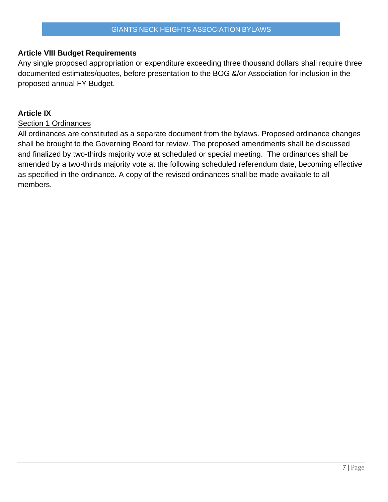# **Article VIII Budget Requirements**

Any single proposed appropriation or expenditure exceeding three thousand dollars shall require three documented estimates/quotes, before presentation to the BOG &/or Association for inclusion in the proposed annual FY Budget.

# **Article IX**

#### Section 1 Ordinances

All ordinances are constituted as a separate document from the bylaws. Proposed ordinance changes shall be brought to the Governing Board for review. The proposed amendments shall be discussed and finalized by two-thirds majority vote at scheduled or special meeting. The ordinances shall be amended by a two-thirds majority vote at the following scheduled referendum date, becoming effective as specified in the ordinance. A copy of the revised ordinances shall be made available to all members.